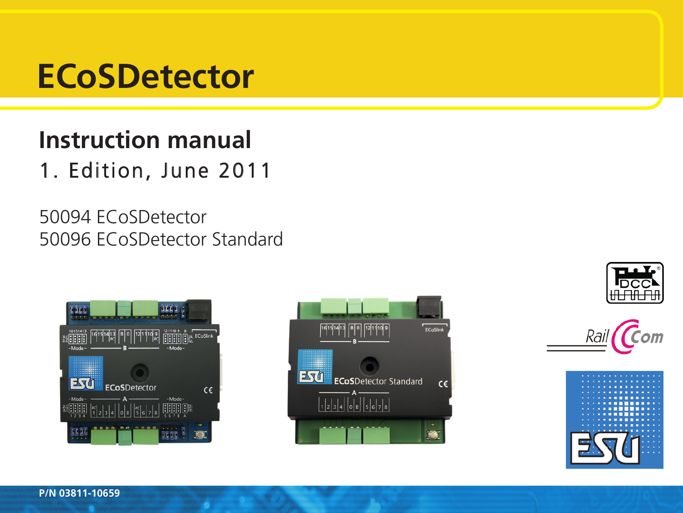# **ECoSDetector**

# **Instruction manual** 1. Edition, June 2011

50094 ECoSDetector 50096 ECoSDetector Standard









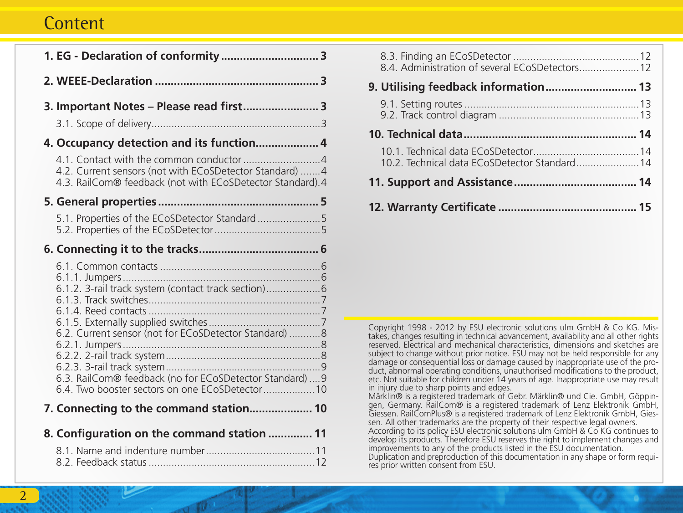# **Content**

| 1. EG - Declaration of conformity 3                                                                                                                                                                                       |
|---------------------------------------------------------------------------------------------------------------------------------------------------------------------------------------------------------------------------|
|                                                                                                                                                                                                                           |
| 3. Important Notes - Please read first 3                                                                                                                                                                                  |
|                                                                                                                                                                                                                           |
| 4. Occupancy detection and its function 4                                                                                                                                                                                 |
| 4.2. Current sensors (not with ECoSDetector Standard)  4<br>4.3. RailCom® feedback (not with ECoSDetector Standard).4                                                                                                     |
|                                                                                                                                                                                                                           |
| 5.1. Properties of the ECoSDetector Standard                                                                                                                                                                              |
|                                                                                                                                                                                                                           |
| 6.1.2. 3-rail track system (contact track section)<br>6.2. Current sensor (not for ECoSDetector Standard)8<br>6.3. RailCom® feedback (no for ECoSDetector Standard)  9<br>6.4. Two booster sectors on one ECoSDetector 10 |
| 7. Connecting to the command station 10                                                                                                                                                                                   |
| 8. Configuration on the command station  11                                                                                                                                                                               |
|                                                                                                                                                                                                                           |

| 9. Utilising feedback information 13          |  |
|-----------------------------------------------|--|
|                                               |  |
|                                               |  |
| 10.2. Technical data ECoSDetector Standard 14 |  |
|                                               |  |
|                                               |  |

Copyright 1998 - 2012 by ESU electronic solutions ulm GmbH & Co KG. Mistakes, changes resulting in technical advancement, availability and all other rights reserved. Electrical and mechanical characteristics, dimensions and sketches are subject to change without prior notice. ESU may not be held responsible for any damage or consequential loss or damage caused by inappropriate use of the product, abnormal operating conditions, unauthorised modifications to the product, etc. Not suitable for children under 14 years of age. Inappropriate use may result in injury due to sharp points and edges.

Märklin® is a registered trademark of Gebr. Märklin® und Cie. GmbH, Göppin- gen, Germany. RailCom® is a registered trademark of Lenz Elektronik GmbH, Giessen. RailComPlus® is a registered trademark of Lenz Elektronik GmbH, Gies-sen. All other trademarks are the property of their respective legal owners. According to its policy ESU electronic solutions ulm GmbH & Co KG continues to develop its products. Therefore ESU reserves the right to implement changes and improvements to any of the products listed in the ESU documentation. Duplication and preproduction of this documentation in any shape or form requires prior written consent from ESU.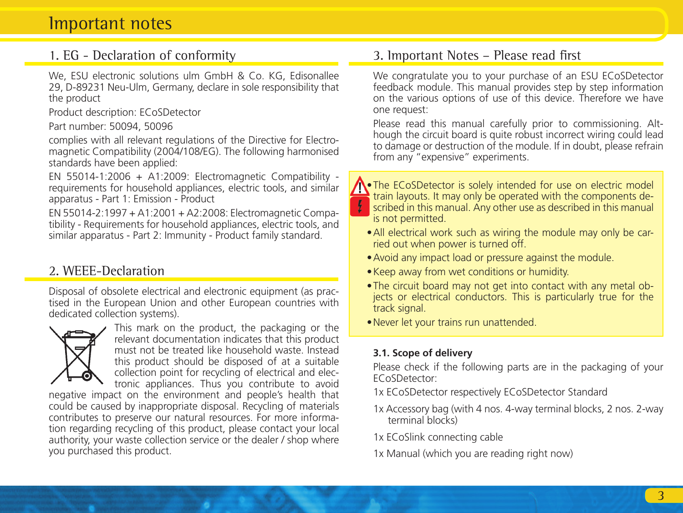# Important notes

### 1. EG - Declaration of conformity

We, ESU electronic solutions ulm GmbH & Co. KG, Edisonallee 29, D-89231 Neu-Ulm, Germany, declare in sole responsibility that the product

Product description: ECoSDetector

Part number: 50094, 50096

complies with all relevant regulations of the Directive for Electromagnetic Compatibility (2004/108/EG). The following harmonised standards have been applied:

EN 55014-1:2006 + A1:2009: Electromagnetic Compatibility requirements for household appliances, electric tools, and similar apparatus - Part 1: Emission - Product

EN 55014-2:1997 + A1:2001 + A2:2008: Electromagnetic Compatibility - Requirements for household appliances, electric tools, and similar apparatus - Part 2: Immunity - Product family standard.

## 2. WEEE-Declaration

Disposal of obsolete electrical and electronic equipment (as practised in the European Union and other European countries with dedicated collection systems).



This mark on the product, the packaging or the relevant documentation indicates that this product must not be treated like household waste. Instead this product should be disposed of at a suitable collection point for recycling of electrical and electronic appliances. Thus you contribute to avoid

negative impact on the environment and people's health that could be caused by inappropriate disposal. Recycling of materials contributes to preserve our natural resources. For more information regarding recycling of this product, please contact your local authority, your waste collection service or the dealer / shop where you purchased this product.

### 3. Important Notes – Please read first

We congratulate you to your purchase of an ESU ECoSDetector feedback module. This manual provides step by step information on the various options of use of this device. Therefore we have one request:

Please read this manual carefully prior to commissioning. Although the circuit board is quite robust incorrect wiring could lead to damage or destruction of the module. If in doubt, please refrain from any "expensive" experiments.



•The ECoSDetector is solely intended for use on electric model train layouts. It may only be operated with the components de- $\blacksquare$  scribed in this manual. Any other use as described in this manual is not permitted.

- •All electrical work such as wiring the module may only be carried out when power is turned off.
- •Avoid any impact load or pressure against the module.
- •Keep away from wet conditions or humidity.
- •The circuit board may not get into contact with any metal objects or electrical conductors. This is particularly true for the track signal.
- •Never let your trains run unattended.

#### **3.1. Scope of delivery**

Please check if the following parts are in the packaging of your ECoSDetector:

- 1x ECoSDetector respectively ECoSDetector Standard
- 1x Accessory bag (with 4 nos. 4-way terminal blocks, 2 nos. 2-way terminal blocks)

1x ECoSlink connecting cable

1x Manual (which you are reading right now)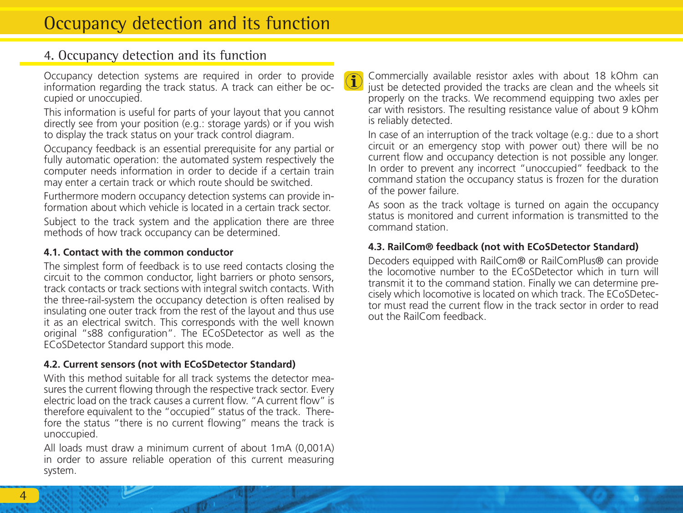### 4. Occupancy detection and its function

Occupancy detection systems are required in order to provide information regarding the track status. A track can either be occupied or unoccupied.

This information is useful for parts of your layout that you cannot directly see from your position (e.g.: storage yards) or if you wish to display the track status on your track control diagram.

Occupancy feedback is an essential prerequisite for any partial or fully automatic operation: the automated system respectively the computer needs information in order to decide if a certain train may enter a certain track or which route should be switched.

Furthermore modern occupancy detection systems can provide information about which vehicle is located in a certain track sector. Subject to the track system and the application there are three methods of how track occupancy can be determined.

#### **4.1. Contact with the common conductor**

The simplest form of feedback is to use reed contacts closing the circuit to the common conductor, light barriers or photo sensors, track contacts or track sections with integral switch contacts. With the three-rail-system the occupancy detection is often realised by insulating one outer track from the rest of the layout and thus use it as an electrical switch. This corresponds with the well known original "s88 configuration". The ECoSDetector as well as the ECoSDetector Standard support this mode.

#### **4.2. Current sensors (not with ECoSDetector Standard)**

With this method suitable for all track systems the detector measures the current flowing through the respective track sector. Every electric load on the track causes a current flow. "A current flow" is therefore equivalent to the "occupied" status of the track. Therefore the status "there is no current flowing" means the track is unoccupied.

All loads must draw a minimum current of about 1mA (0,001A) in order to assure reliable operation of this current measuring system.

Commercially available resistor axles with about 18 kOhm can just be detected provided the tracks are clean and the wheels sit properly on the tracks. We recommend equipping two axles per car with resistors. The resulting resistance value of about 9 kOhm is reliably detected.

In case of an interruption of the track voltage (e.g.: due to a short circuit or an emergency stop with power out) there will be no current flow and occupancy detection is not possible any longer. In order to prevent any incorrect "unoccupied" feedback to the command station the occupancy status is frozen for the duration of the power failure.

As soon as the track voltage is turned on again the occupancy status is monitored and current information is transmitted to the command station.

#### **4.3. RailCom® feedback (not with ECoSDetector Standard)**

Decoders equipped with RailCom® or RailComPlus® can provide the locomotive number to the ECoSDetector which in turn will transmit it to the command station. Finally we can determine precisely which locomotive is located on which track. The ECoSDetector must read the current flow in the track sector in order to read out the RailCom feedback.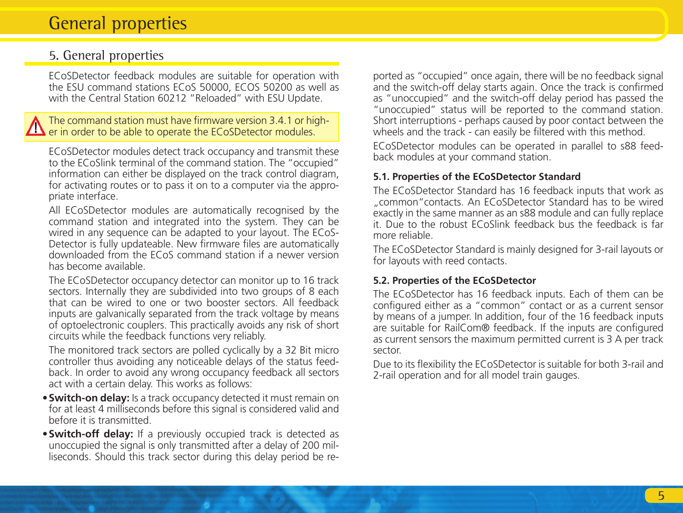# General properties

### 5. General properties

ECoSDetector feedback modules are suitable for operation with the ESU command stations ECoS 50000, ECOS 50200 as well as with the Central Station 60212 "Reloaded" with ESU Update.

#### The command station must have firmware version 3.4.1 or higher in order to be able to operate the ECoSDetector modules.

ECoSDetector modules detect track occupancy and transmit these to the ECoSlink terminal of the command station. The "occupied" information can either be displayed on the track control diagram. for activating routes or to pass it on to a computer via the appropriate interface.

All ECoSDetector modules are automatically recognised by the command station and integrated into the system. They can be wired in any sequence can be adapted to your layout. The ECoS-Detector is fully updateable. New firmware files are automatically downloaded from the ECoS command station if a newer version has become available.

The ECoSDetector occupancy detector can monitor up to 16 track sectors. Internally they are subdivided into two groups of 8 each that can be wired to one or two booster sectors. All feedback inputs are galvanically separated from the track voltage by means of optoelectronic couplers. This practically avoids any risk of short circuits while the feedback functions very reliably.

The monitored track sectors are polled cyclically by a 32 Bit micro controller thus avoiding any noticeable delays of the status feedback. In order to avoid any wrong occupancy feedback all sectors act with a certain delay. This works as follows:

- •**Switch-on delay:** Is a track occupancy detected it must remain on for at least 4 milliseconds before this signal is considered valid and before it is transmitted.
- •**Switch-off delay:** If a previously occupied track is detected as unoccupied the signal is only transmitted after a delay of 200 milliseconds. Should this track sector during this delay period be re-

ported as "occupied" once again, there will be no feedback signal and the switch-off delay starts again. Once the track is confirmed as "unoccupied" and the switch-off delay period has passed the "unoccupied" status will be reported to the command station. Short interruptions - perhaps caused by poor contact between the wheels and the track - can easily be filtered with this method.

ECoSDetector modules can be operated in parallel to s88 feedback modules at your command station.

#### **5.1. Properties of the ECoSDetector Standard**

The ECoSDetector Standard has 16 feedback inputs that work as "common"contacts. An ECoSDetector Standard has to be wired exactly in the same manner as an s88 module and can fully replace it. Due to the robust ECoSlink feedback bus the feedback is far more reliable.

The ECoSDetector Standard is mainly designed for 3-rail layouts or for layouts with reed contacts.

#### **5.2. Properties of the ECoSDetector**

The ECoSDetector has 16 feedback inputs. Each of them can be configured either as a "common" contact or as a current sensor by means of a jumper. In addition, four of the 16 feedback inputs are suitable for RailCom® feedback. If the inputs are configured as current sensors the maximum permitted current is 3 A per track sector.

Due to its flexibility the ECoSDetector is suitable for both 3-rail and 2-rail operation and for all model train gauges.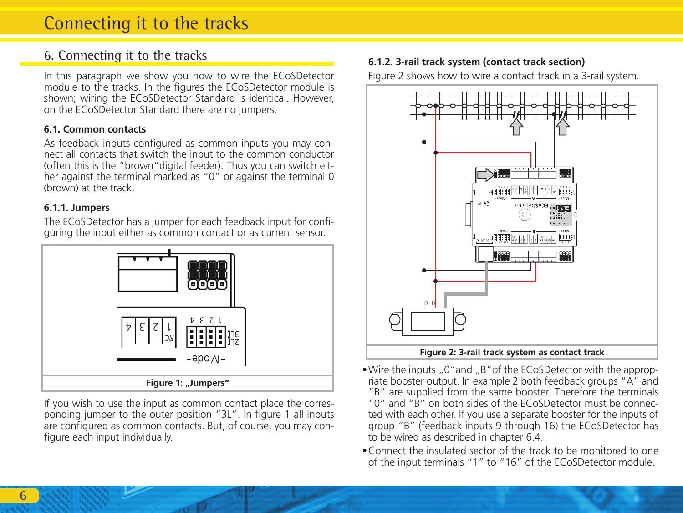# 6. Connecting it to the tracks

In this paragraph we show you how to wire the ECoSDetector module to the tracks. In the figures the ECoSDetector module is shown; wiring the ECoSDetector Standard is identical. However, on the ECoSDetector Standard there are no jumpers.

#### **6.1. Common contacts**

As feedback inputs configured as common inputs you may connect all contacts that switch the input to the common conductor (often this is the "brown"digital feeder). Thus you can switch either against the terminal marked as "0" or against the terminal 0 (brown) at the track.

#### **6.1.1. Jumpers**

The ECoSDetector has a jumper for each feedback input for configuring the input either as common contact or as current sensor.



If you wish to use the input as common contact place the corresponding jumper to the outer position "3L". In figure 1 all inputs are configured as common contacts. But, of course, you may configure each input individually.

### **6.1.2. 3-rail track system (contact track section)**

Figure 2 shows how to wire a contact track in a 3-rail system.



- Wire the inputs ..0" and ..B" of the ECoSDetector with the appropriate booster output. In example 2 both feedback groups "A" and "B" are supplied from the same booster. Therefore the terminals "0" and "B" on both sides of the ECoSDetector must be connected with each other. If you use a separate booster for the inputs of group "B" (feedback inputs 9 through 16) the ECoSDetector has to be wired as described in chapter 6.4.
- •Connect the insulated sector of the track to be monitored to one of the input terminals "1" to "16" of the ECoSDetector module.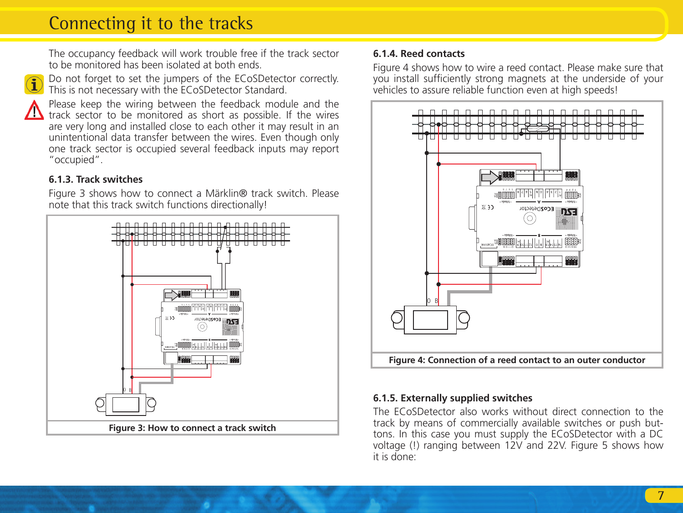# Connecting it to the tracks

The occupancy feedback will work trouble free if the track sector to be monitored has been isolated at both ends.



Do not forget to set the jumpers of the ECoSDetector correctly.  $\Box$  This is not necessary with the ECoSDetector Standard.



Please keep the wiring between the feedback module and the track sector to be monitored as short as possible. If the wires are very long and installed close to each other it may result in an unintentional data transfer between the wires. Even though only one track sector is occupied several feedback inputs may report "occupied".

### **6.1.3. Track switches**

Figure 3 shows how to connect a Märklin® track switch. Please note that this track switch functions directionally!



#### **6.1.4. Reed contacts**

Figure 4 shows how to wire a reed contact. Please make sure that you install sufficiently strong magnets at the underside of your vehicles to assure reliable function even at high speeds!



#### **6.1.5. Externally supplied switches**

The ECoSDetector also works without direct connection to the track by means of commercially available switches or push buttons. In this case you must supply the ECoSDetector with a DC voltage (!) ranging between 12V and 22V. Figure 5 shows how it is done: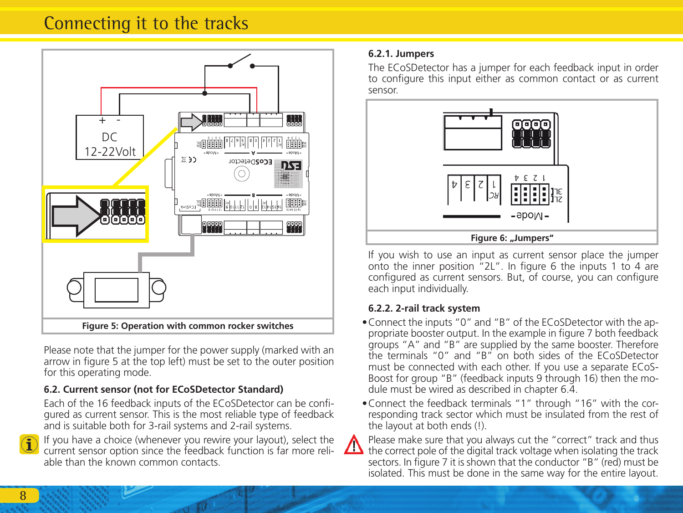# Connecting it to the tracks



Please note that the jumper for the power supply (marked with an arrow in figure 5 at the top left) must be set to the outer position for this operating mode.

### **6.2. Current sensor (not for ECoSDetector Standard)**

Each of the 16 feedback inputs of the ECoSDetector can be configured as current sensor. This is the most reliable type of feedback and is suitable both for 3-rail systems and 2-rail systems.



If you have a choice (whenever you rewire your layout), select the current sensor option since the feedback function is far more reliable than the known common contacts.

#### **6.2.1. Jumpers**

The ECoSDetector has a jumper for each feedback input in order to configure this input either as common contact or as current sensor.



If you wish to use an input as current sensor place the jumper onto the inner position "2L". In figure 6 the inputs 1 to 4 are configured as current sensors. But, of course, you can configure each input individually.

#### **6.2.2. 2-rail track system**

- •Connect the inputs "0" and "B" of the ECoSDetector with the appropriate booster output. In the example in figure 7 both feedback groups "A" and "B" are supplied by the same booster. Therefore the terminals "0" and "B" on both sides of the ECoSDetector must be connected with each other. If you use a separate ECoS-Boost for group "B" (feedback inputs 9 through 16) then the module must be wired as described in chapter 6.4.
- •Connect the feedback terminals "1" through "16" with the corresponding track sector which must be insulated from the rest of the layout at both ends (!).



Please make sure that you always cut the "correct" track and thus  $\sum$  the correct pole of the digital track voltage when isolating the track sectors. In figure 7 it is shown that the conductor "B" (red) must be isolated. This must be done in the same way for the entire layout.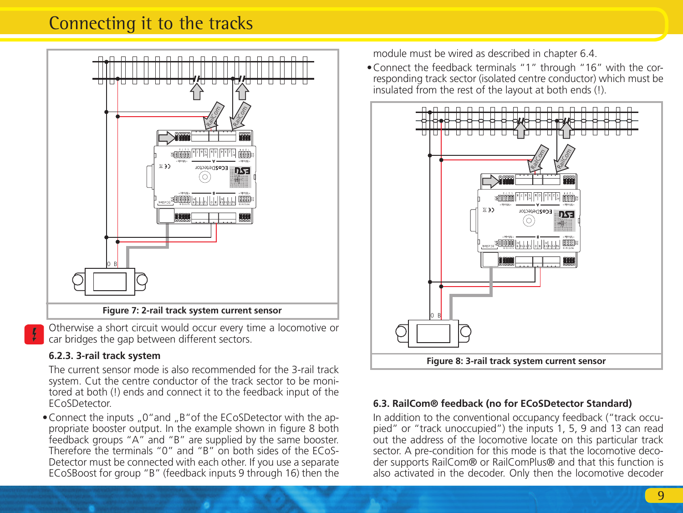# Connecting it to the tracks



Otherwise a short circuit would occur every time a locomotive or car bridges the gap between different sectors.

#### **6.2.3. 3-rail track system**

The current sensor mode is also recommended for the 3-rail track system. Cut the centre conductor of the track sector to be monitored at both (!) ends and connect it to the feedback input of the ECoSDetector.

• Connect the inputs  $.0$ "and  $.8$ " of the ECoSDetector with the appropriate booster output. In the example shown in figure 8 both feedback groups "A" and "B" are supplied by the same booster. Therefore the terminals "0" and "B" on both sides of the ECoS-Detector must be connected with each other. If you use a separate ECoSBoost for group "B" (feedback inputs 9 through 16) then the module must be wired as described in chapter 6.4

•Connect the feedback terminals "1" through "16" with the corresponding track sector (isolated centre conductor) which must be insulated from the rest of the layout at both ends (!).



#### **6.3. RailCom® feedback (no for ECoSDetector Standard)**

In addition to the conventional occupancy feedback ("track occupied" or "track unoccupied") the inputs 1, 5, 9 and 13 can read out the address of the locomotive locate on this particular track sector. A pre-condition for this mode is that the locomotive decoder supports RailCom® or RailComPlus® and that this function is also activated in the decoder. Only then the locomotive decoder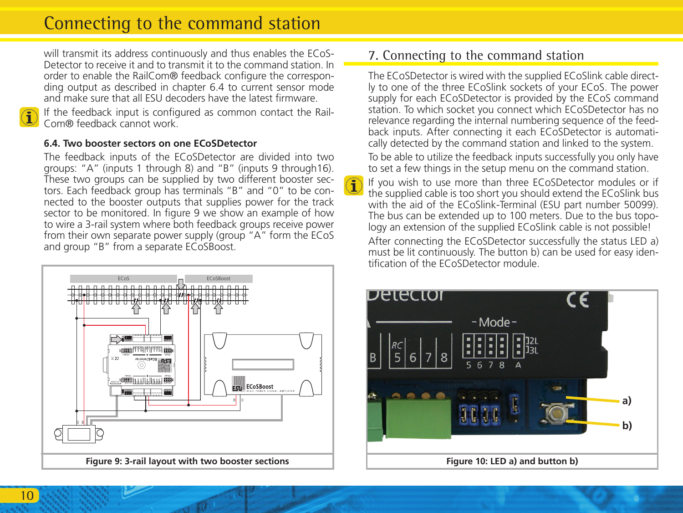# Connecting to the command station

will transmit its address continuously and thus enables the ECoS-Detector to receive it and to transmit it to the command station. In order to enable the RailCom® feedback configure the corresponding output as described in chapter 6.4 to current sensor mode and make sure that all ESU decoders have the latest firmware.



If the feedback input is configured as common contact the Rail- $\bf{1}$   $\cdots$  and identical input  $\cdots$  .

#### **6.4. Two booster sectors on one ECoSDetector**

The feedback inputs of the ECoSDetector are divided into two groups: "A" (inputs 1 through 8) and "B" (inputs 9 through16). These two groups can be supplied by two different booster sectors. Each feedback group has terminals "B" and "0" to be connected to the booster outputs that supplies power for the track sector to be monitored. In figure 9 we show an example of how to wire a 3-rail system where both feedback groups receive power from their own separate power supply (group "A" form the ECoS and group "B" from a separate ECoSBoost.



### 7. Connecting to the command station

The ECoSDetector is wired with the supplied ECoSlink cable directly to one of the three ECoSlink sockets of your ECoS. The power supply for each ECoSDetector is provided by the ECoS command station. To which socket you connect which ECoSDetector has no relevance regarding the internal numbering sequence of the feedback inputs. After connecting it each ECoSDetector is automatically detected by the command station and linked to the system.

To be able to utilize the feedback inputs successfully you only have to set a few things in the setup menu on the command station.

If you wish to use more than three ECoSDetector modules or if the supplied cable is too short you should extend the ECoSlink bus with the aid of the ECoSlink-Terminal (ESU part number 50099). The bus can be extended up to 100 meters. Due to the bus topology an extension of the supplied ECoSlink cable is not possible!

After connecting the ECoSDetector successfully the status LED a) must be lit continuously. The button b) can be used for easy identification of the ECoSDetector module.

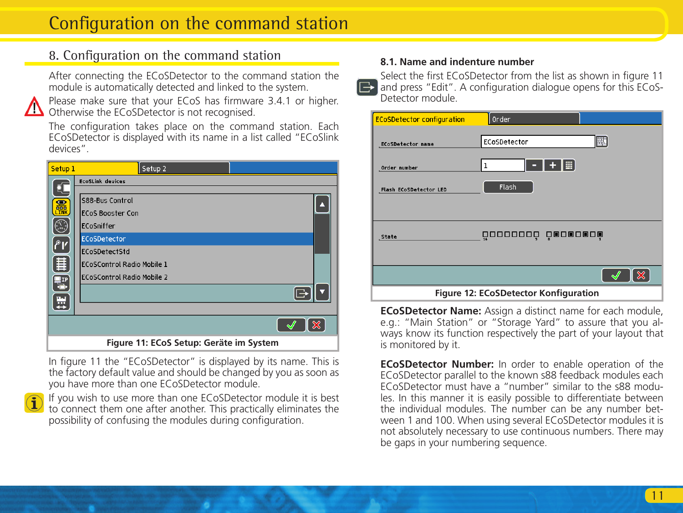# Configuration on the command station

# 8. Configuration on the command station

After connecting the ECoSDetector to the command station the module is automatically detected and linked to the system.



Please make sure that your ECoS has firmware 3.4.1 or higher. Otherwise the ECoSDetector is not recognised.

The configuration takes place on the command station. Each ECoSDetector is displayed with its name in a list called "ECoSlink devices".

| Setup <sub>1</sub>                                                                        | Setup <sub>2</sub>                         |  |
|-------------------------------------------------------------------------------------------|--------------------------------------------|--|
|                                                                                           | <b>EcoSLink devices</b>                    |  |
| Ę.<br>圖圖                                                                                  | S88-Bus Control<br><b>ECoS Booster Con</b> |  |
| Œ                                                                                         | ECoSniffer                                 |  |
| ľ°۱                                                                                       | ECoSDetector                               |  |
|                                                                                           | ECoSDetectStd                              |  |
| 僵                                                                                         | ECoSControl Radio Mobile 1                 |  |
| $\left[\begin{matrix} \mathbf{I}^{\text{r}} \\ \mathbf{I}^{\text{r}} \end{matrix}\right]$ | ECoSControl Radio Mobile 2                 |  |
| ₩                                                                                         |                                            |  |
|                                                                                           |                                            |  |
|                                                                                           | ×                                          |  |
|                                                                                           | Figure 11: ECoS Setup: Geräte im System    |  |

In figure 11 the "ECoSDetector" is displayed by its name. This is the factory default value and should be changed by you as soon as you have more than one ECoSDetector module.

If you wish to use more than one ECoSDetector module it is best to connect them one after another. This practically eliminates the possibility of confusing the modules during configuration.

#### **8.1. Name and indenture number**

Select the first ECoSDetector from the list as shown in figure 11  $\Box$ and press "Edit". A configuration dialogue opens for this ECoS-Detector module.

| <b>ECoSDetector configuration</b> | Order                                 |
|-----------------------------------|---------------------------------------|
| <b>ECoSDetector name</b>          | 匪<br>ECoSDetector                     |
| Order number                      |                                       |
| Flash ECoSDetector LED            | Flash                                 |
|                                   |                                       |
| State                             | 00000000 00000000                     |
|                                   |                                       |
|                                   | ×                                     |
|                                   | Figure 12: ECoSDetector Konfiguration |

**ECoSDetector Name:** Assign a distinct name for each module, e.g.: "Main Station" or "Storage Yard" to assure that you always know its function respectively the part of your layout that is monitored by it.

**ECoSDetector Number:** In order to enable operation of the ECoSDetector parallel to the known s88 feedback modules each ECoSDetector must have a "number" similar to the s88 modules. In this manner it is easily possible to differentiate between the individual modules. The number can be any number between 1 and 100. When using several ECoSDetector modules it is not absolutely necessary to use continuous numbers. There may be gaps in your numbering sequence.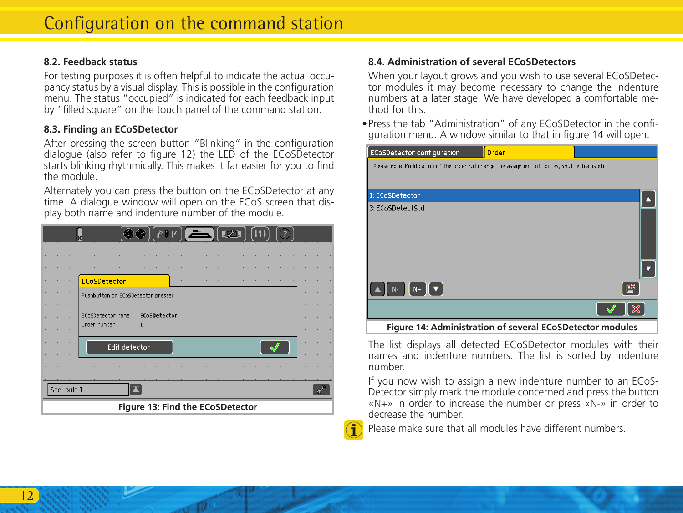#### **8.2. Feedback status**

For testing purposes it is often helpful to indicate the actual occupancy status by a visual display. This is possible in the configuration menu. The status "occupied" is indicated for each feedback input by "filled square" on the touch panel of the command station.

#### **8.3. Finding an ECoSDetector**

After pressing the screen button "Blinking" in the configuration dialogue (also refer to figure 12) the LED of the ECoSDetector starts blinking rhythmically. This makes it far easier for you to find the module.

Alternately you can press the button on the ECoSDetector at any time. A dialogue window will open on the ECoS screen that display both name and indenture number of the module.

|                                  |  |  | $\bullet \bullet$ $($ $\bullet$ $\bullet$ $)$ $\bullet$ $\bullet$ $\bullet$<br>$\left( 7\right)$ |  |  |
|----------------------------------|--|--|--------------------------------------------------------------------------------------------------|--|--|
|                                  |  |  |                                                                                                  |  |  |
|                                  |  |  |                                                                                                  |  |  |
|                                  |  |  | <b>ECoSDetector</b>                                                                              |  |  |
|                                  |  |  | Pushbutton on ECoSDetector pressed                                                               |  |  |
|                                  |  |  |                                                                                                  |  |  |
|                                  |  |  | ECoSDetector name<br>ECoSDetector                                                                |  |  |
|                                  |  |  | Order number<br>1                                                                                |  |  |
|                                  |  |  | Edit detector                                                                                    |  |  |
|                                  |  |  |                                                                                                  |  |  |
| Stellpult 1                      |  |  |                                                                                                  |  |  |
| Figure 13: Find the ECoSDetector |  |  |                                                                                                  |  |  |

### **8.4. Administration of several ECoSDetectors**

When your layout grows and you wish to use several ECoSDetector modules it may become necessary to change the indenture numbers at a later stage. We have developed a comfortable method for this.

•Press the tab "Administration" of any ECoSDetector in the configuration menu. A window similar to that in figure 14 will open.



The list displays all detected ECoSDetector modules with their names and indenture numbers. The list is sorted by indenture number.

If you now wish to assign a new indenture number to an ECoS-Detector simply mark the module concerned and press the button «N+» in order to increase the number or press «N-» in order to decrease the number.

Please make sure that all modules have different numbers.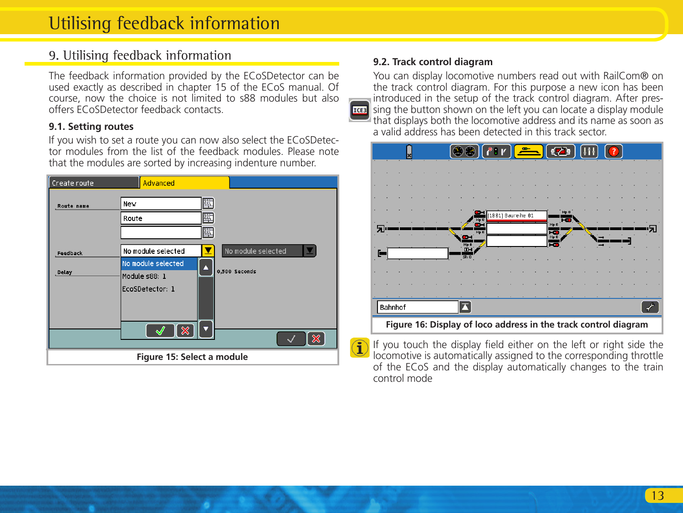### 9. Utilising feedback information

The feedback information provided by the ECoSDetector can be used exactly as described in chapter 15 of the ECoS manual. Of course, now the choice is not limited to s88 modules but also offers ECoSDetector feedback contacts.

#### **9.1. Setting routes**

If you wish to set a route you can now also select the ECoSDetector modules from the list of the feedback modules. Please note that the modules are sorted by increasing indenture number.

| Create route               | Advanced                                                                     |                                                                                           |
|----------------------------|------------------------------------------------------------------------------|-------------------------------------------------------------------------------------------|
| <b>Route</b> name          | New<br>Route                                                                 | 犀<br>匪<br>犀                                                                               |
| Feedback<br>Delay          | No module selected<br>No module selected<br>Module s88: 1<br>EcoSDetector: 1 | No module selected<br>м<br>x<br>Δ<br>0.500 Seconds<br>÷<br>×<br>$\boldsymbol{\mathsf{x}}$ |
| Figure 15: Select a module |                                                                              |                                                                                           |

#### **9.2. Track control diagram**

You can display locomotive numbers read out with RailCom® on the track control diagram. For this purpose a new icon has been introduced in the setup of the track control diagram. After pres- $\parallel$  sing the button shown on the left you can locate a display module **RGES** that displays both the locomotive address and its name as soon as a valid address has been detected in this track sector.



If you touch the display field either on the left or right side the locomotive is automatically assigned to the corresponding throttle of the ECoS and the display automatically changes to the train control mode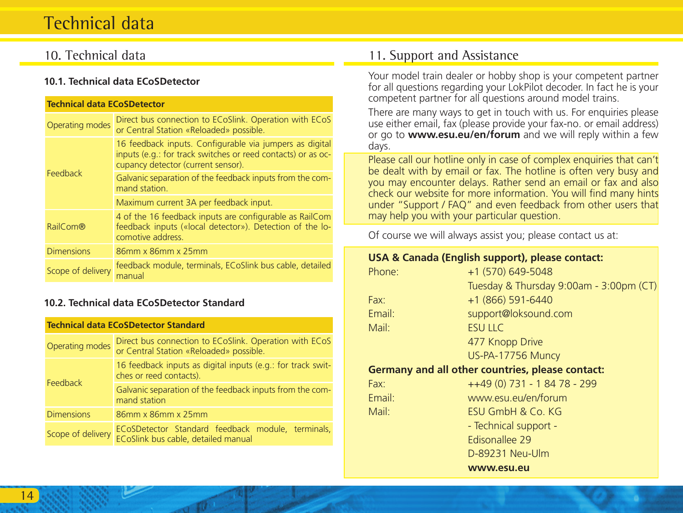# Technical data

### 10. Technical data

#### **10.1. Technical data ECoSDetector**

| <b>Technical data ECoSDetector</b> |                                                                                                                                                               |  |
|------------------------------------|---------------------------------------------------------------------------------------------------------------------------------------------------------------|--|
| Operating modes                    | Direct bus connection to ECoSlink. Operation with ECoS<br>or Central Station «Reloaded» possible.                                                             |  |
|                                    | 16 feedback inputs. Configurable via jumpers as digital<br>inputs (e.g.: for track switches or reed contacts) or as oc-<br>cupancy detector (current sensor). |  |
| Feedback                           | Galvanic separation of the feedback inputs from the com-<br>mand station.                                                                                     |  |
|                                    | Maximum current 3A per feedback input.                                                                                                                        |  |
| RailCom®                           | 4 of the 16 feedback inputs are configurable as RailCom<br>feedback inputs («local detector»). Detection of the lo-<br>comotive address.                      |  |
| <b>Dimensions</b>                  | 86mm x 86mm x 25mm                                                                                                                                            |  |
| Scope of delivery                  | feedback module, terminals, ECoSlink bus cable, detailed<br>manual                                                                                            |  |

#### **10.2. Technical data ECoSDetector Standard**

#### **Technical data ECoSDetector Standard**

| Operating modes   | Direct bus connection to ECoSlink. Operation with ECoS<br>or Central Station «Reloaded» possible. |  |
|-------------------|---------------------------------------------------------------------------------------------------|--|
| Feedback          | 16 feedback inputs as digital inputs (e.g.: for track swit-<br>ches or reed contacts).            |  |
|                   | Galvanic separation of the feedback inputs from the com-<br>mand station                          |  |
| <b>Dimensions</b> | 86mm x 86mm x 25mm                                                                                |  |
| Scope of delivery | ECoSDetector Standard feedback module, terminals,<br>ECoSlink bus cable, detailed manual          |  |

### 11. Support and Assistance

Your model train dealer or hobby shop is your competent partner for all questions regarding your LokPilot decoder. In fact he is your competent partner for all questions around model trains.

There are many ways to get in touch with us. For enquiries please use either email, fax (please provide your fax-no. or email address) or go to **www.esu.eu/en/forum** and we will reply within a few days.

Please call our hotline only in case of complex enquiries that can't be dealt with by email or fax. The hotline is often very busy and you may encounter delays. Rather send an email or fax and also check our website for more information. You will find many hints under "Support / FAQ" and even feedback from other users that may help you with your particular question.

Of course we will always assist you; please contact us at:

#### **USA & Canada (English support), please contact:**

| Phone: | +1 (570) 649-5048                       |
|--------|-----------------------------------------|
|        | Tuesday & Thursday 9:00am - 3:00pm (CT) |
| Fax:   | +1 (866) 591-6440                       |
| Email: | support@loksound.com                    |
| Mail:  | <b>ESULIC</b>                           |
|        | 477 Knopp Drive                         |
|        | US-PA-17756 Muncy                       |

#### **Germany and all other countries, please contact:**

| Fax:   | ++49 (0) 731 - 1 84 78 - 299 |
|--------|------------------------------|
| Email: | www.esu.eu/en/forum          |
| Mail:  | <b>FSU GmbH &amp; Co. KG</b> |
|        | - Technical support -        |
|        | <b>Edisonallee 29</b>        |
|        | D-89231 Neu-Ulm              |

**www.esu.eu**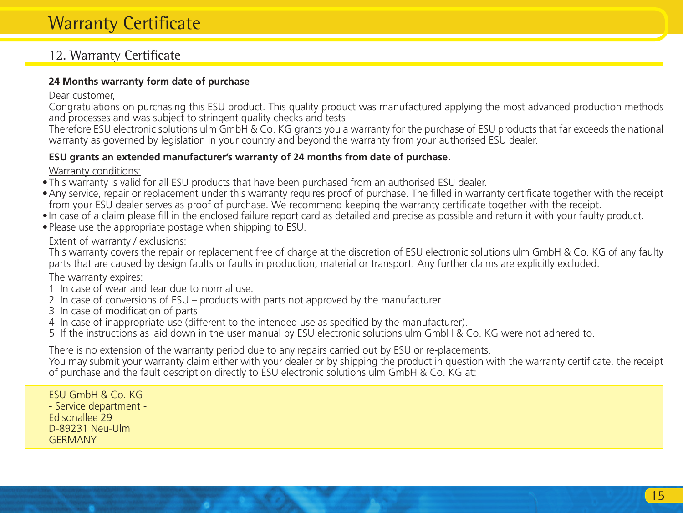# Warranty Certificate

## 12. Warranty Certificate

#### **24 Months warranty form date of purchase**

#### Dear customer,

Congratulations on purchasing this ESU product. This quality product was manufactured applying the most advanced production methods and processes and was subject to stringent quality checks and tests.

Therefore ESU electronic solutions ulm GmbH & Co. KG grants you a warranty for the purchase of ESU products that far exceeds the national warranty as governed by legislation in your country and beyond the warranty from your authorised ESU dealer.

#### **ESU grants an extended manufacturer's warranty of 24 months from date of purchase.**

#### Warranty conditions:

- •This warranty is valid for all ESU products that have been purchased from an authorised ESU dealer.
- •Any service, repair or replacement under this warranty requires proof of purchase. The filled in warranty certificate together with the receipt from your ESU dealer serves as proof of purchase. We recommend keeping the warranty certificate together with the receipt.
- •In case of a claim please fill in the enclosed failure report card as detailed and precise as possible and return it with your faulty product.
- •Please use the appropriate postage when shipping to ESU.

#### Extent of warranty / exclusions:

This warranty covers the repair or replacement free of charge at the discretion of ESU electronic solutions ulm GmbH & Co. KG of any faulty parts that are caused by design faults or faults in production, material or transport. Any further claims are explicitly excluded.

#### The warranty expires:

- 1. In case of wear and tear due to normal use.
- 2. In case of conversions of ESU products with parts not approved by the manufacturer.
- 3. In case of modification of parts.
- 4. In case of inappropriate use (different to the intended use as specified by the manufacturer).
- 5. If the instructions as laid down in the user manual by ESU electronic solutions ulm GmbH & Co. KG were not adhered to.

There is no extension of the warranty period due to any repairs carried out by ESU or re-placements.

You may submit your warranty claim either with your dealer or by shipping the product in question with the warranty certificate, the receipt of purchase and the fault description directly to ESU electronic solutions ulm GmbH & Co. KG at:

ESU GmbH & Co. KG - Service department - Edisonallee 29 D-89231 Neu-Ulm **GERMANY**